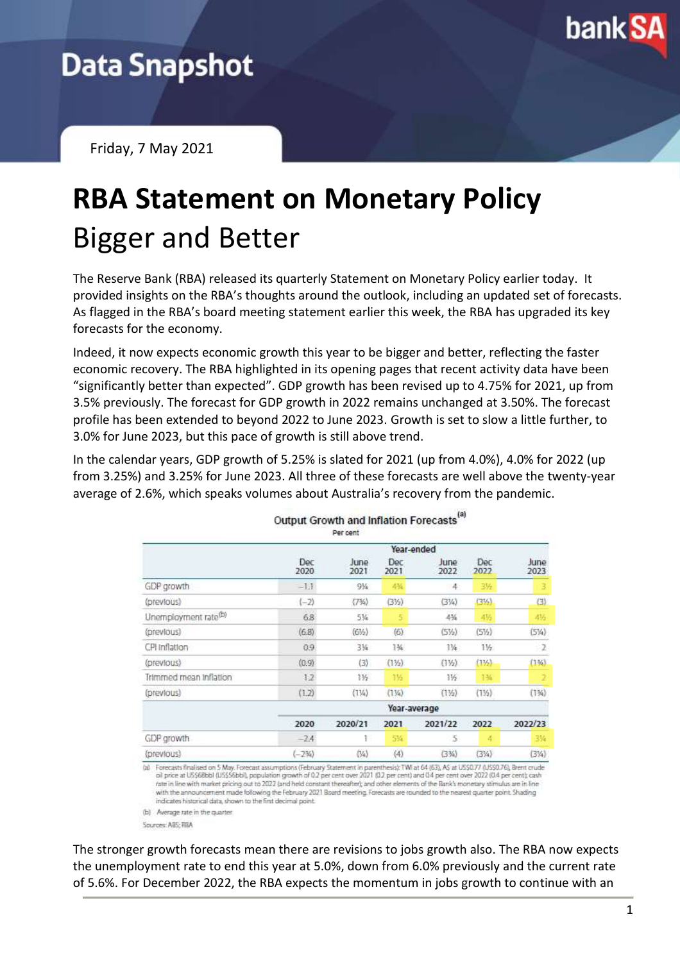

## **Data Snapshot**

Friday, 7 May 2021

# **RBA Statement on Monetary Policy** Bigger and Better

The Reserve Bank (RBA) released its quarterly Statement on Monetary Policy earlier today. It provided insights on the RBA's thoughts around the outlook, including an updated set of forecasts. As flagged in the RBA's board meeting statement earlier this week, the RBA has upgraded its key forecasts for the economy.

Indeed, it now expects economic growth this year to be bigger and better, reflecting the faster economic recovery. The RBA highlighted in its opening pages that recent activity data have been "significantly better than expected". GDP growth has been revised up to 4.75% for 2021, up from 3.5% previously. The forecast for GDP growth in 2022 remains unchanged at 3.50%. The forecast profile has been extended to beyond 2022 to June 2023. Growth is set to slow a little further, to 3.0% for June 2023, but this pace of growth is still above trend.

In the calendar years, GDP growth of 5.25% is slated for 2021 (up from 4.0%), 4.0% for 2022 (up from 3.25%) and 3.25% for June 2023. All three of these forecasts are well above the twenty-year average of 2.6%, which speaks volumes about Australia's recovery from the pandemic.

|                                  |              | Per cent     |             | STEERS AND THE PARTY. |             |              |
|----------------------------------|--------------|--------------|-------------|-----------------------|-------------|--------------|
|                                  | Year-ended   |              |             |                       |             |              |
|                                  | Dec<br>2020  | June<br>2021 | Dec<br>2021 | June<br>2022          | Dec<br>2022 | June<br>2023 |
| GDP growth                       | $-L1$        | 9%           | 4%          | 4                     | 31/2        | 3            |
| (previous)                       | $(-2)$       | (7%)         | (335)       | (3%)                  | (314)       | (3)          |
| Unemployment rate <sup>(b)</sup> | 6.8          | 5%           | 5           | 4%                    | 41/2        | 41/2         |
| (previous)                       | (6.8)        | (636)        | 倘           | (5%)                  | (5%)        | (5%)         |
| CPI Inflation                    | 0.9.         | 334          | 1%          | 114                   | 11/2        | -2           |
| (previous)                       | (0.9)        | (3)          | (135)       | (1%)                  | (11)        | (1, 4)       |
| Irimmed mean Inflation           | 12           | 116          | 11/2        | 115                   | 1%          | 2            |
| (previous)                       | (1.2)        | (134)        | (134)       | (1%)                  | (12)        | (134)        |
|                                  | Year-average |              |             |                       |             |              |
|                                  | 2020         | 2020/21      | 2021        | 2021/22               | 2022        | 2022/23      |
| GDP growth                       | $-2.4$       | ţ.           | 5%          | 5.                    | 4           | 3%           |
| (previous)                       | $(-256)$     | (34)         | (4)         | (334)                 | (3%)        | (3%)         |

### Output Growth and Inflation Forecasts<sup>(a)</sup>

(a) Forecasts finalised on 5 May. Forecast assumptions (February Statement in parenthesis): TWI at 64 (63), AS at US\$0.77 (US\$0.76), Brent crude oil price at US\$6Bbbl (US\$56bbl), population growth of 0.2 per cent over 2021 (0.2 per cent) and 0.4 per cent over 2022 (0.4 per cent); cash rate in line with market pricing out to 2022 (and held constant thereafter); and other elements of the Bank's monetary stimulus are in line with the announcement made following the February 2021 Board meeting. Forecasts are rounded to the nearest quarter point. Shading indicates historical data, shown to the first decimal point.

(b) Average rate in the quarter

Sources: ABS; RBA

The stronger growth forecasts mean there are revisions to jobs growth also. The RBA now expects the unemployment rate to end this year at 5.0%, down from 6.0% previously and the current rate of 5.6%. For December 2022, the RBA expects the momentum in jobs growth to continue with an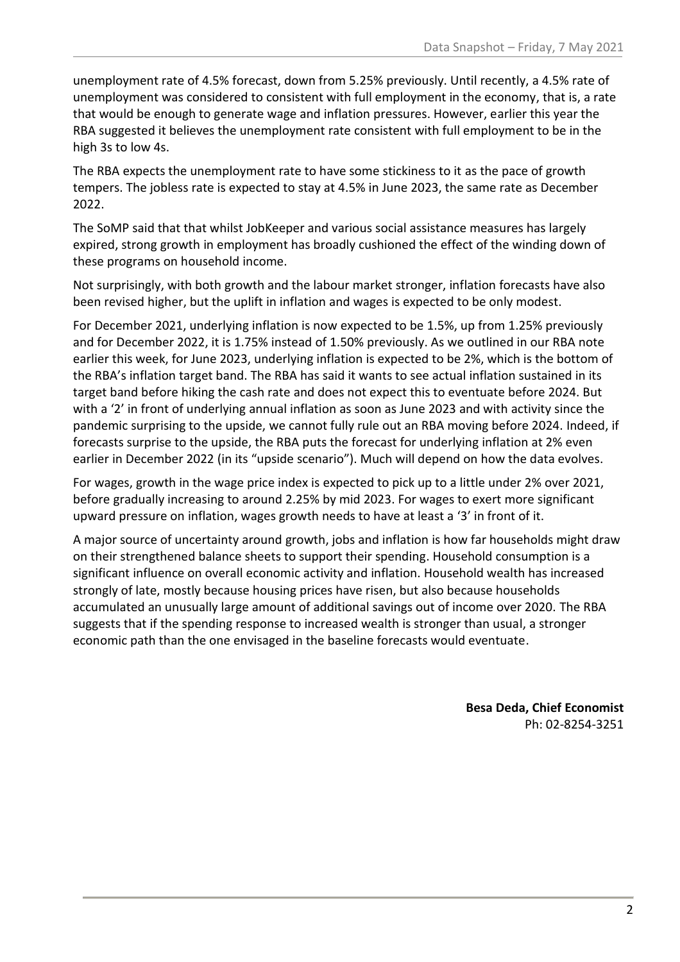unemployment rate of 4.5% forecast, down from 5.25% previously. Until recently, a 4.5% rate of unemployment was considered to consistent with full employment in the economy, that is, a rate that would be enough to generate wage and inflation pressures. However, earlier this year the RBA suggested it believes the unemployment rate consistent with full employment to be in the high 3s to low 4s.

The RBA expects the unemployment rate to have some stickiness to it as the pace of growth tempers. The jobless rate is expected to stay at 4.5% in June 2023, the same rate as December 2022.

The SoMP said that that whilst JobKeeper and various social assistance measures has largely expired, strong growth in employment has broadly cushioned the effect of the winding down of these programs on household income.

Not surprisingly, with both growth and the labour market stronger, inflation forecasts have also been revised higher, but the uplift in inflation and wages is expected to be only modest.

For December 2021, underlying inflation is now expected to be 1.5%, up from 1.25% previously and for December 2022, it is 1.75% instead of 1.50% previously. As we outlined in our RBA note earlier this week, for June 2023, underlying inflation is expected to be 2%, which is the bottom of the RBA's inflation target band. The RBA has said it wants to see actual inflation sustained in its target band before hiking the cash rate and does not expect this to eventuate before 2024. But with a '2' in front of underlying annual inflation as soon as June 2023 and with activity since the pandemic surprising to the upside, we cannot fully rule out an RBA moving before 2024. Indeed, if forecasts surprise to the upside, the RBA puts the forecast for underlying inflation at 2% even earlier in December 2022 (in its "upside scenario"). Much will depend on how the data evolves.

For wages, growth in the wage price index is expected to pick up to a little under 2% over 2021, before gradually increasing to around 2.25% by mid 2023. For wages to exert more significant upward pressure on inflation, wages growth needs to have at least a '3' in front of it.

A major source of uncertainty around growth, jobs and inflation is how far households might draw on their strengthened balance sheets to support their spending. Household consumption is a significant influence on overall economic activity and inflation. Household wealth has increased strongly of late, mostly because housing prices have risen, but also because households accumulated an unusually large amount of additional savings out of income over 2020. The RBA suggests that if the spending response to increased wealth is stronger than usual, a stronger economic path than the one envisaged in the baseline forecasts would eventuate.

> **Besa Deda, Chief Economist** Ph: 02-8254-3251